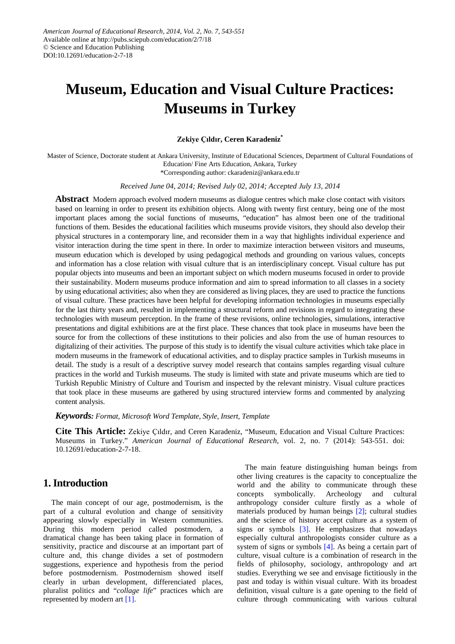# **Museum, Education and Visual Culture Practices: Museums in Turkey**

#### **Zekiye Çıldır, Ceren Karadeniz\***

Master of Science, Doctorate student at Ankara University, Institute of Educational Sciences, Department of Cultural Foundations of Education/ Fine Arts Education, Ankara, Turkey

\*Corresponding author: ckaradeniz@ankara.edu.tr

*Received June 04, 2014; Revised July 02, 2014; Accepted July 13, 2014*

**Abstract** Modern approach evolved modern museums as dialogue centres which make close contact with visitors based on learning in order to present its exhibition objects. Along with twenty first century, being one of the most important places among the social functions of museums, "education" has almost been one of the traditional functions of them. Besides the educational facilities which museums provide visitors, they should also develop their physical structures in a contemporary line, and reconsider them in a way that highlights individual experience and visitor interaction during the time spent in there. In order to maximize interaction between visitors and museums, museum education which is developed by using pedagogical methods and grounding on various values, concepts and information has a close relation with visual culture that is an interdisciplinary concept. Visual culture has put popular objects into museums and been an important subject on which modern museums focused in order to provide their sustainability. Modern museums produce information and aim to spread information to all classes in a society by using educational activities; also when they are considered as living places, they are used to practice the functions of visual culture. These practices have been helpful for developing information technologies in museums especially for the last thirty years and, resulted in implementing a structural reform and revisions in regard to integrating these technologies with museum perception. In the frame of these revisions, online technologies, simulations, interactive presentations and digital exhibitions are at the first place. These chances that took place in museums have been the source for from the collections of these institutions to their policies and also from the use of human resources to digitalizing of their activities. The purpose of this study is to identify the visual culture activities which take place in modern museums in the framework of educational activities, and to display practice samples in Turkish museums in detail. The study is a result of a descriptive survey model research that contains samples regarding visual culture practices in the world and Turkish museums. The study is limited with state and private museums which are tied to Turkish Republic Ministry of Culture and Tourism and inspected by the relevant ministry. Visual culture practices that took place in these museums are gathered by using structured interview forms and commented by analyzing content analysis.

*Keywords: Format, Microsoft Word Template, Style, Insert, Template*

**Cite This Article:** Zekiye Çıldır, and Ceren Karadeniz, "Museum, Education and Visual Culture Practices: Museums in Turkey." *American Journal of Educational Research*, vol. 2, no. 7 (2014): 543-551. doi: 10.12691/education-2-7-18.

## **1. Introduction**

The main concept of our age, postmodernism, is the part of a cultural evolution and change of sensitivity appearing slowly especially in Western communities. During this modern period called postmodern, a dramatical change has been taking place in formation of sensitivity, practice and discourse at an important part of culture and, this change divides a set of postmodern suggestions, experience and hypothesis from the period before postmodernism. Postmodernism showed itself clearly in urban development, differenciated places, pluralist politics and "*collage life*" practices which are represented by modern art [\[1\].](#page-8-0) 

The main feature distinguishing human beings from other living creatures is the capacity to conceptualize the world and the ability to communicate through these concepts symbolically. Archeology and cultural anthropology consider culture firstly as a whole of materials produced by human beings [\[2\];](#page-8-1) cultural studies and the science of history accept culture as a system of signs or symbols  $\lceil 3 \rceil$ . He emphasizes that nowadays especially cultural anthropologists consider culture as a system of signs or symbols [\[4\].](#page-8-3) As being a certain part of culture, visual culture is a combination of research in the fields of philosophy, sociology, anthropology and art studies. Everything we see and envisage fictitiously in the past and today is within visual culture. With its broadest definition, visual culture is a gate opening to the field of culture through communicating with various cultural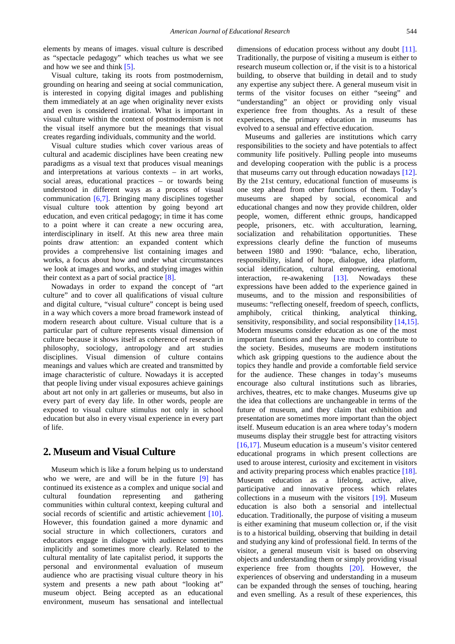elements by means of images. visual culture is described as "spectacle pedagogy" which teaches us what we see and how we see and think [\[5\].](#page-8-4)

Visual culture, taking its roots from postmodernism, grounding on hearing and seeing at social communication, is interested in copying digital images and publishing them immediately at an age when originality never exists and even is considered irrational. What is important in visual culture within the context of postmodernism is not the visual itself anymore but the meanings that visual creates regarding individuals, community and the world.

Visual culture studies which cover various areas of cultural and academic disciplines have been creating new paradigms as a visual text that produces visual meanings and interpretations at various contexts – in art works, social areas, educational practices – or towards being understood in different ways as a process of visual communication [\[6,7\].](#page-8-5) Bringing many disciplines together visual culture took attention by going beyond art education, and even critical pedagogy; in time it has come to a point where it can create a new occuring area, interdisciplinary in itself. At this new area three main points draw attention: an expanded content which provides a comprehensive list containing images and works, a focus about how and under what circumstances we look at images and works, and studying images within their context as a part of social practice [\[8\].](#page-8-6)

Nowadays in order to expand the concept of "art culture" and to cover all qualifications of visual culture and digital culture, "visual culture" concept is being used in a way which covers a more broad framework instead of modern research about culture. Visual culture that is a particular part of culture represents visual dimension of culture because it shows itself as coherence of research in philosophy, sociology, antropology and art studies disciplines. Visual dimension of culture contains meanings and values which are created and transmitted by image characteristic of culture. Nowadays it is accepted that people living under visual exposures achieve gainings about art not only in art galleries or museums, but also in every part of every day life. In other words, people are exposed to visual culture stimulus not only in school education but also in every visual experience in every part of life.

### **2. Museum and Visual Culture**

Museum which is like a forum helping us to understand who we were, are and will be in the future [\[9\]](#page-8-7) has continued its existence as a complex and unique social and cultural foundation representing and gathering communities within cultural context, keeping cultural and social records of scientific and artistic achievement [\[10\].](#page-8-8) However, this foundation gained a more dynamic and social structure in which collectioners, curators and educators engage in dialogue with audience sometimes implicitly and sometimes more clearly. Related to the cultural mentality of late capitalist period, it supports the personal and environmental evaluation of museum audience who are practising visual culture theory in his system and presents a new path about "looking at" museum object. Being accepted as an educational environment, museum has sensational and intellectual

dimensions of education process without any doubt [\[11\].](#page-8-9) Traditionally, the purpose of visiting a museum is either to research museum collection or, if the visit is to a historical building, to observe that building in detail and to study any expertise any subject there. A general museum visit in terms of the visitor focuses on either "seeing" and "understanding" an object or providing only visual experience free from thoughts. As a result of these experiences, the primary education in museums has evolved to a sensual and effective education.

Museums and galleries are institutions which carry responsibilities to the society and have potentials to affect community life positively. Pulling people into museums and developing cooperation with the public is a process that museums carry out through education nowadays [\[12\].](#page-8-10) By the 21st century, educational function of museums is one step ahead from other functions of them. Today's museums are shaped by social, economical and educational changes and now they provide children, older people, women, different ethnic groups, handicapped people, prisoners, etc. with acculturation, learning, socialization and rehabilitation opportunities. These expressions clearly define the function of museums between 1980 and 1990: "balance, echo, liberation, responsibility, island of hope, dialogue, idea platform, social identification, cultural empowering, emotional interaction, re-awakening [\[13\].](#page-8-11) Nowadays these expressions have been added to the experience gained in museums, and to the mission and responsibilities of museums: "reflecting oneself, freedom of speech, conflicts, amphiboly, critical thinking, analytical thinking, sensitivity, responsibility, and social responsibility [\[14,15\].](#page-8-12) Modern museums consider education as one of the most important functions and they have much to contribute to the society. Besides, museums are modern institutions which ask gripping questions to the audience about the topics they handle and provide a comfortable field service for the audience. These changes in today's museums encourage also cultural institutions such as libraries, archives, theatres, etc to make changes. Museums give up the idea that collections are unchangeable in terms of the future of museum, and they claim that exhibition and presentation are sometimes more important than the object itself. Museum education is an area where today's modern museums display their struggle best for attracting visitors [\[16,17\].](#page-8-13) Museum education is a museum's visitor centered educational programs in which present collections are used to arouse interest, curiosity and excitement in visitors and activity preparing process which enables practice [\[18\].](#page-8-14) Museum education as a lifelong, active, alive, participative and innovative process which relates collections in a museum with the visitors [\[19\].](#page-8-15) Museum education is also both a sensorial and intellectual education. Traditionally, the purpose of visiting a museum is either examining that museum collection or, if the visit is to a historical building, observing that building in detail and studying any kind of professional field. In terms of the visitor, a general museum visit is based on observing objects and understanding them or simply providing visual experience free from thoughts [\[20\].](#page-8-16) However, the experiences of observing and understanding in a museum can be expanded through the senses of touching, hearing and even smelling. As a result of these experiences, this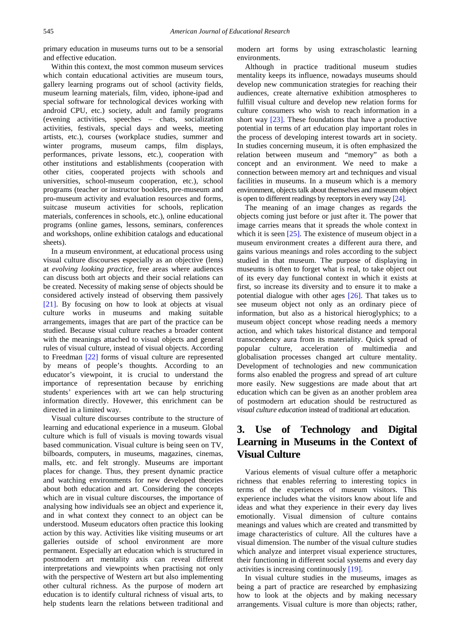primary education in museums turns out to be a sensorial and effective education.

Within this context, the most common museum services which contain educational activities are museum tours, gallery learning programs out of school (activity fields, museum learning materials, film, video, iphone-ipad and special software for technological devices working with android CPU, etc.) society, adult and family programs (evening activities, speeches – chats, socialization activities, festivals, special days and weeks, meeting artists, etc.), courses (workplace studies, summer and winter programs, museum camps, film displays, performances, private lessons, etc.), cooperation with other institutions and establishments (cooperation with other cities, cooperated projects with schools and universities, school-museum cooperation, etc.), school programs (teacher or instructor booklets, pre-museum and pro-museum activity and evaluation resources and forms, suitcase museum activities for schools, replication materials, conferences in schools, etc.), online educational programs (online games, lessons, seminars, conferences and workshops, online exhibition catalogs and educational sheets).

In a museum environment, at educational process using visual culture discourses especially as an objective (lens) at *evolving looking practice*, free areas where audiences can discuss both art objects and their social relations can be created. Necessity of making sense of objects should be considered actively instead of observing them passively [\[21\].](#page-8-17) By focusing on how to look at objects at visual culture works in museums and making suitable arrangements, images that are part of the practice can be studied. Because visual culture reaches a broader content with the meanings attached to visual objects and general rules of visual culture, instead of visual objects. According to Freedman [\[22\]](#page-8-18) forms of visual culture are represented by means of people's thoughts. According to an educator's viewpoint, it is crucial to understand the importance of representation because by enriching students' experiences with art we can help structuring information directly. Hovewer, this enrichment can be directed in a limited way.

Visual culture discourses contribute to the structure of learning and educational experience in a museum. Global culture which is full of visuals is moving towards visual based communication. Visual culture is being seen on TV, bilboards, computers, in museums, magazines, cinemas, malls, etc. and felt strongly. Museums are important places for change. Thus, they present dynamic practice and watching environments for new developed theories about both education and art. Considering the concepts which are in visual culture discourses, the importance of analysing how individuals see an object and experience it, and in what context they connect to an object can be understood. Museum educators often practice this looking action by this way. Activities like visiting museums or art galleries outside of school environment are more permanent. Especially art education which is structured in postmodern art mentality axis can reveal different interpretations and viewpoints when practising not only with the perspective of Western art but also implementing other cultural richness. As the purpose of modern art education is to identify cultural richness of visual arts, to help students learn the relations between traditional and

modern art forms by using extrascholastic learning environments.

Although in practice traditional museum studies mentality keeps its influence, nowadays museums should develop new communication strategies for reaching their audiences, create alternative exhibition atmospheres to fulfill visual culture and develop new relation forms for culture consumers who wish to reach information in a short way [\[23\].](#page-8-19) These foundations that have a productive potential in terms of art education play important roles in the process of developing interest towards art in society. In studies concerning museum, it is often emphasized the relation between museum and "memory" as both a concept and an environment. We need to make a connection between memory art and techniques and visual facilities in museums. In a museum which is a memory environment, objects talk about themselves and museum object is open to different readings by receptors in every wa[y \[24\].](#page-8-20) 

The meaning of an image changes as regards the objects coming just before or just after it. The power that image carries means that it spreads the whole context in which it is seen  $[25]$ . The existence of museum object in a museum environment creates a different aura there, and gains various meanings and roles according to the subject studied in that museum. The purpose of displaying in museums is often to forget what is real, to take object out of its every day functional context in which it exists at first, so increase its diversity and to ensure it to make a potential dialogue with other ages [\[26\].](#page-8-22) That takes us to see museum object not only as an ordinary piece of information, but also as a historical hieroglyphics; to a museum object concept whose reading needs a memory action, and which takes historical distance and temporal transcendency aura from its materiality. Quick spread of popular culture, acceleration of multimedia and globalisation processes changed art culture mentality. Development of technologies and new communication forms also enabled the progress and spread of art culture more easily. New suggestions are made about that art education which can be given as an another problem area of postmodern art education should be restructured as *visual culture education* instead of traditional art education.

## **3. Use of Technology and Digital Learning in Museums in the Context of Visual Culture**

Various elements of visual culture offer a metaphoric richness that enables referring to interesting topics in terms of the experiences of museum visitors. This experience includes what the visitors know about life and ideas and what they experience in their every day lives emotionally. Visual dimension of culture contains meanings and values which are created and transmitted by image characteristics of culture. All the cultures have a visual dimension. The number of the visual culture studies which analyze and interpret visual experience structures, their functioning in different social systems and every day activities is increasing continuously [\[19\].](#page-8-15)

In visual culture studies in the museums, images as being a part of practice are researched by emphasizing how to look at the objects and by making necessary arrangements. Visual culture is more than objects; rather,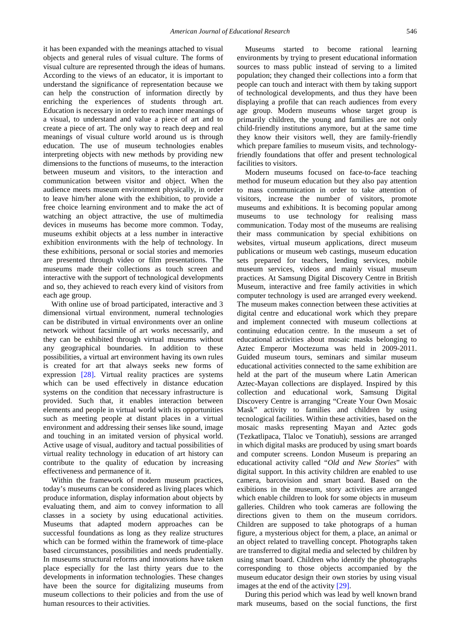it has been expanded with the meanings attached to visual objects and general rules of visual culture. The forms of visual culture are represented through the ideas of humans. According to the views of an educator, it is important to understand the significance of representation because we can help the construction of information directly by enriching the experiences of students through art. Education is necessary in order to reach inner meanings of a visual, to understand and value a piece of art and to create a piece of art. The only way to reach deep and real meanings of visual culture world around us is through education. The use of museum technologies enables interpreting objects with new methods by providing new dimensions to the functions of museums, to the interaction between museum and visitors, to the interaction and communication between visitor and object. When the audience meets museum environment physically, in order to leave him/her alone with the exhibition, to provide a free choice learning environment and to make the act of watching an object attractive, the use of multimedia devices in museums has become more common. Today, museums exhibit objects at a less number in interactive exhibition environments with the help of technology. In these exhibitions, personal or social stories and memories are presented through video or film presentations. The museums made their collections as touch screen and interactive with the support of technological developments and so, they achieved to reach every kind of visitors from each age group.

With online use of broad participated, interactive and 3 dimensional virtual environment, numeral technologies can be distributed in virtual environments over an online network without facsimile of art works necessarily, and they can be exhibited through virtual museums without any geographical boundaries. In addition to these possibilities, a virtual art environment having its own rules is created for art that always seeks new forms of expression [\[28\].](#page-8-23) Virtual reality practices are systems which can be used effectively in distance education systems on the condition that necessary infrastructure is provided. Such that, it enables interaction between elements and people in virtual world with its opportunities such as meeting people at distant places in a virtual environment and addressing their senses like sound, image and touching in an imitated version of physical world. Active usage of visual, auditory and tactual possibilities of virtual reality technology in education of art history can contribute to the quality of education by increasing effectiveness and permanence of it.

Within the framework of modern museum practices, today's museums can be considered as living places which produce information, display information about objects by evaluating them, and aim to convey information to all classes in a society by using educational activities. Museums that adapted modern approaches can be successful foundations as long as they realize structures which can be formed within the framework of time-place based circumstances, possibilities and needs prudentially. In museums structural reforms and innovations have taken place especially for the last thirty years due to the developments in information technologies. These changes have been the source for digitalizing museums from museum collections to their policies and from the use of human resources to their activities.

Museums started to become rational learning environments by trying to present educational information sources to mass public instead of serving to a limited population; they changed their collections into a form that people can touch and interact with them by taking support of technological developments, and thus they have been displaying a profile that can reach audiences from every age group. Modern museums whose target group is primarily children, the young and families are not only child-friendly institutions anymore, but at the same time they know their visitors well, they are family-friendly which prepare families to museum visits, and technologyfriendly foundations that offer and present technological facilities to visitors.

Modern museums focused on face-to-face teaching method for museum education but they also pay attention to mass communication in order to take attention of visitors, increase the number of visitors, promote museums and exhibitions. It is becoming popular among museums to use technology for realising mass communication. Today most of the museums are realising their mass communication by special exhibitions on websites, virtual museum applications, direct museum publications or museum web castings, museum education sets prepared for teachers, lending services, mobile museum services, videos and mainly visual museum practices. At Samsung Digital Discovery Centre in British Museum, interactive and free family activities in which computer technology is used are arranged every weekend. The museum makes connection between these activities at digital centre and educational work which they prepare and implement connected with museum collections at continuing education centre. In the museum a set of educational activities about mosaic masks belonging to Aztec Emperor Moctezuma was held in 2009-2011. Guided museum tours, seminars and similar museum educational activities connected to the same exhibition are held at the part of the museum where Latin American Aztec-Mayan collections are displayed. Inspired by this collection and educational work, Samsung Digital Discovery Centre is arranging "Create Your Own Mosaic Mask" activity to families and children by using tecnological facilities. Within these activities, based on the mosaic masks representing Mayan and Aztec gods (Tezkatlipaca, Tlaloc ve Tonatiuh), sessions are arranged in which digital masks are produced by using smart boards and computer screens. London Museum is preparing an educational activity called "*Old and New Stories*" with digital support. In this activity children are enabled to use camera, barcovision and smart board. Based on the exibitions in the museum, story activities are arranged which enable children to look for some objects in museum galleries. Children who took cameras are following the directions given to them on the museum corridors. Children are supposed to take photograps of a human figure, a mysterious object for them, a place, an animal or an object related to travelling concept. Photographs taken are transferred to digital media and selected by children by using smart board. Children who identify the photographs corresponding to those objects accompanied by the museum educator design their own stories by using visual images at the end of the activity [\[29\].](#page-8-24)

During this period which was lead by well known brand mark museums, based on the social functions, the first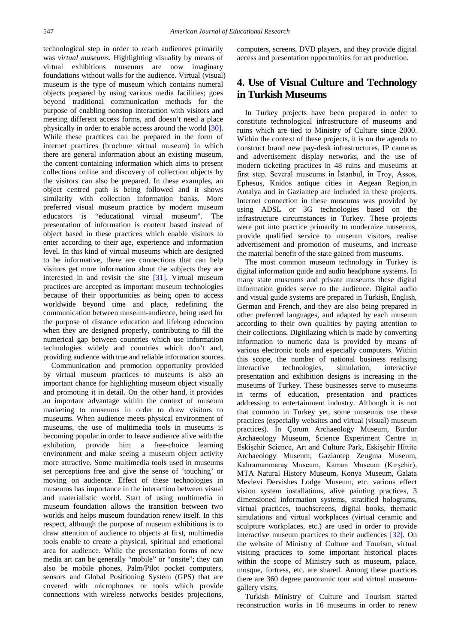technological step in order to reach audiences primarily was *virtual museums*. Highlighting visuality by means of virtual exhibitions museums are now imaginary foundations without walls for the audience. Virtual (visual) museum is the type of museum which contains numeral objects prepared by using various media facilities; goes beyond traditional communication methods for the purpose of enabling nonstop interaction with visitors and meeting different access forms, and doesn't need a place physically in order to enable access around the world [\[30\].](#page-8-25) While these practices can be prepared in the form of internet practices (brochure virtual museum) in which there are general information about an existing museum, the content containing information which aims to present collections online and discovery of collection objects by the visitors can also be prepared. In these examples, an object centred path is being followed and it shows similarity with collection information banks. More preferred visual museum practice by modern museum educators is "educational virtual museum". The presentation of information is content based instead of object based in these practices which enable visitors to enter according to their age, experience and information level. In this kind of virtual museums which are designed to be informative, there are connections that can help visitors get more information about the subjects they are interested in and revisit the site [\[31\].](#page-8-26) Virtual museum practices are accepted as important museum technologies because of their opportunities as being open to access worldwide beyond time and place, redefining the communication between museum-audience, being used for the purpose of distance education and lifelong education when they are designed properly, contributing to fill the numerical gap between countries which use information technologies widely and countries which don't and, providing audience with true and reliable information sources.

Communication and promotion opportunity provided by virtual museum practices to museums is also an important chance for highlighting museum object visually and promoting it in detail. On the other hand, it provides an important advantage within the context of museum marketing to museums in order to draw visitors to museums. When audience meets physical environment of museums, the use of multimedia tools in museums is becoming popular in order to leave audience alive with the exhibition, provide him a free-choice learning environment and make seeing a museum object activity more attractive. Some multimedia tools used in museums set perceptions free and give the sense of 'touching' or moving on audience. Effect of these technologies in museums has importance in the interaction between visual and materialistic world. Start of using multimedia in museum foundation allows the transition between two worlds and helps museum foundation renew itself. In this respect, although the purpose of museum exhibitions is to draw attention of audience to objects at first, multimedia tools enable to create a physical, spiritual and emotional area for audience. While the presentation forms of new media art can be generally "mobile" or "onsite"; they can also be mobile phones, Palm/Pilot pocket computers, sensors and Global Positioning System (GPS) that are covered with microphones or tools which provide connections with wireless networks besides projections, computers, screens, DVD players, and they provide digital access and presentation opportunities for art production.

## **4. Use of Visual Culture and Technology in Turkish Museums**

In Turkey projects have been prepared in order to constitute technological infrastructure of museums and ruins which are tied to Ministry of Culture since 2000. Within the context of these projects, it is on the agenda to construct brand new pay-desk infrastructures, IP cameras and advertisement display networks, and the use of modern ticketing practices in 48 ruins and museums at first step. Several museums in İstanbul, in Troy, Assos, Ephesus, Knidos antique cities in Aegean Region,in Antalya and in Gaziantep are included in these projects. Internet connection in these museums was provided by using ADSL or 3G technologies based on the infrastructure circumstances in Turkey. These projects were put into practice primarily to modernize museums, provide qualified service to museum visitors, realise advertisement and promotion of museums, and increase the material benefit of the state gained from museums.

The most common museum technology in Turkey is digital information guide and audio headphone systems. In many state museums and private museums these digital information guides serve to the audience. Digital audio and visual guide systems are prepared in Turkish, English, German and French, and they are also being prepared in other preferred languages, and adapted by each museum according to their own qualities by paying attention to their collections. Digitilazing which is made by converting information to numeric data is provided by means of various electronic tools and especially computers. Within this scope, the number of national business realising interactive technologies, simulation, interactive presentation and exhibition designs is increasing in the museums of Turkey. These businesses serve to museums in terms of education, presentation and practices addressing to entertainment industry. Although it is not that common in Turkey yet, some museums use these practices (especially websites and virtual (visual) museum practices). In Çorum Archaeology Museum, Burdur Archaeology Museum, Science Experiment Centre in Eskişehir Science, Art and Culture Park, Eskişehir Hittite Archaeology Museum, Gaziantep Zeugma Museum, Kahramanmaraş Museum, Kaman Museum (Kırşehir), MTA Natural History Museum, Konya Museum, Galata Mevlevi Dervishes Lodge Museum, etc. various effect vision system installations, alive painting practices, 3 dimensioned information systems, stratified holograms, virtual practices, touchscreens, digital books, thematic simulations and virtual workplaces (virtual ceramic and sculpture workplaces, etc.) are used in order to provide interactive museum practices to their audiences [\[32\].](#page-8-27) On the website of Ministry of Culture and Tourism, virtual visiting practices to some important historical places within the scope of Ministry such as museum, palace, mosque, fortress, etc. are shared. Among these practices there are 360 degree panoramic tour and virtual museumgallery visits.

Turkish Ministry of Culture and Tourism started reconstruction works in 16 museums in order to renew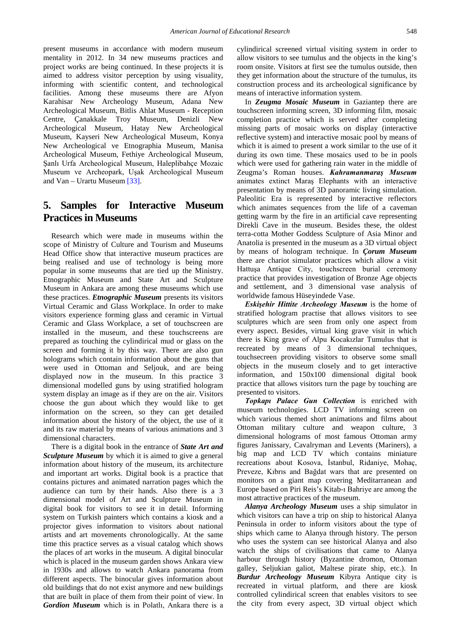present museums in accordance with modern museum mentality in 2012. In 34 new museums practices and project works are being continued. In these projects it is aimed to address visitor perception by using visuality, informing with scientific content, and technological facilities. Among these museums there are Afyon Karahisar New Archeology Museum, Adana New Archeological Museum, Bitlis Ahlat Museum - Reception Centre, Çanakkale Troy Museum, Denizli New Archeological Museum, Hatay New Archeological Museum, Kayseri New Archeological Museum, Konya New Archeological ve Etnographia Museum, Manisa Archeological Museum, Fethiye Archeological Museum, Şanlı Urfa Archeological Museum, Haleplibahçe Mozaic Museum ve Archeopark, Uşak Archeological Museum and Van – Urartu Museum [\[33\].](#page-8-28)

## **5. Samples for Interactive Museum Practices in Museums**

Research which were made in museums within the scope of Ministry of Culture and Tourism and Museums Head Office show that interactive museum practices are being realised and use of technology is being more popular in some museums that are tied up the Ministry. Etnographic Museum and State Art and Sculpture Museum in Ankara are among these museums which use these practices. *Etnographic Museum* presents its visitors Virtual Ceramic and Glass Workplace. In order to make visitors experience forming glass and ceramic in Virtual Ceramic and Glass Workplace, a set of touchscreen are installed in the museum, and these touchscreens are prepared as touching the cylindirical mud or glass on the screen and forming it by this way. There are also gun holograms which contain information about the guns that were used in Ottoman and Seljouk, and are being displayed now in the museum. In this practice 3 dimensional modelled guns by using stratified hologram system display an image as if they are on the air. Visitors choose the gun about which they would like to get information on the screen, so they can get detailed information about the history of the object, the use of it and its raw material by means of various animations and 3 dimensional characters.

There is a digital book in the entrance of *State Art and Sculpture Museum* by which it is aimed to give a general information about history of the museum, its architecture and important art works. Digital book is a practice that contains pictures and animated narration pages which the audience can turn by their hands. Also there is a 3 dimensional model of Art and Sculpture Museum in digital book for visitors to see it in detail. Informing system on Turkish painters which contains a kiosk and a projector gives information to visitors about national artists and art movements chronologically. At the same time this practice serves as a visual catalog which shows the places of art works in the museum. A digital binocular which is placed in the museum garden shows Ankara view in 1930s and allows to watch Ankara panorama from different aspects. The binocular gives information about old buildings that do not exist anymore and new buildings that are built in place of them from their point of view. In *Gordion Museum* which is in Polatlı, Ankara there is a

cylindirical screened virtual visiting system in order to allow visitors to see tumulus and the objects in the king's room onsite. Visitors at first see the tumulus outside, then they get information about the structure of the tumulus, its construction process and its archeological significance by means of interactive information system.

In *Zeugma Mosaic Museum* in Gaziantep there are touchscreen informing screen, 3D informing film, mosaic completion practice which is served after completing missing parts of mosaic works on display (interactive reflective system) and interactive mosaic pool by means of which it is aimed to present a work similar to the use of it during its own time. These mosaics used to be in pools which were used for gathering rain water in the middle of Zeugma's Roman houses. *Kahramanmaraş Museum*  animates extinct Maraş Elephants with an interactive presentation by means of 3D panoramic living simulation. Paleolitic Era is represented by interactive reflectors which animates sequences from the life of a caveman getting warm by the fire in an artificial cave representing Direkli Cave in the museum. Besides these, the oldest terra-cotta Mother Goddess Sculpture of Asia Minor and Anatolia is presented in the museum as a 3D virtual object by means of hologram technique. In *Çorum Museum*  there are chariot simulator practices which allow a visit Hattuşa Antique City, touchscreen burial ceremony practice that provides investigation of Bronze Age objects and settlement, and 3 dimensional vase analysis of worldwide famous Hüseyindede Vase.

*Eskişehir Hittite Archeology Museum* is the home of stratified hologram practise that allows visitors to see sculptures which are seen from only one aspect from every aspect. Besides, virtual king grave visit in which there is King grave of Alpu Kocakızlar Tumulus that is recreated by means of 3 dimensional techniques, touchsecreen providing visitors to observe some small objects in the museum closely and to get interactive information, and 150x100 dimensional digital book practice that allows visitors turn the page by touching are presented to visitors.

*Topkapı Palace Gun Collection* is enriched with museum technologies. LCD TV informing screen on which various themed short animations and films about Ottoman military culture and weapon culture, 3 dimensional holograms of most famous Ottoman army figures Janissary, Cavalryman and Levents (Mariners), a big map and LCD TV which contains miniature recreations about Kosova, İstanbul, Ridaniye, Mohaç, Preveze, Kıbrıs and Bağdat wars that are presented on monitors on a giant map covering Meditarranean and Europe based on Piri Reis's Kitab-ı Bahriye are among the most attractive practices of the museum.

*Alanya Archeology Museum* uses a ship simulator in which visitors can have a trip on ship to historical Alanya Peninsula in order to inform visitors about the type of ships which came to Alanya through history. The person who uses the system can see historical Alanya and also watch the ships of civilisations that came to Alanya harbour through history (Byzantine dromon, Ottoman galley, Seljukian galiot, Maltese pirate ship, etc.). In *Burdur Archeology Museum* Kibyra Antique city is recreated in virtual platform, and there are kiosk controlled cylindirical screen that enables visitors to see the city from every aspect, 3D virtual object which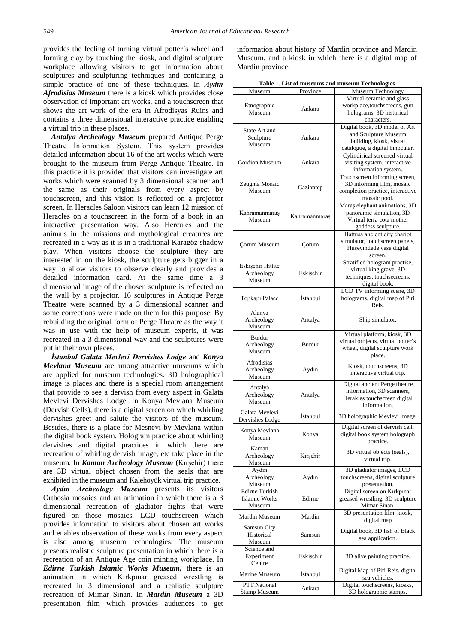provides the feeling of turning virtual potter's wheel and forming clay by touching the kiosk, and digital sculpture workplace allowing visitors to get information about sculptures and sculpturing techniques and containing a simple practice of one of these techniques. In *Aydın Afrodisias Museum* there is a kiosk which provides close observation of important art works, and a touchscreen that shows the art work of the era in Afrodisyas Ruins and contains a three dimensional interactive practice enabling a virtual trip in these places.

*Antalya Archeology Museum* prepared Antique Perge Theatre İnformation System. This system provides detailed information about 16 of the art works which were brought to the museum from Perge Antique Theatre. In this practice it is provided that visitors can investigate art works which were scanned by 3 dimensional scanner and the same as their originals from every aspect by touchscreen, and this vision is reflected on a projector screen. In Heracles Saloon visitors can learn 12 mission of Heracles on a touchscreen in the form of a book in an interactive presentation way. Also Hercules and the animals in the missions and mythological creatures are recreated in a way as it is in a traditional Karagöz shadow play. When visitors choose the sculpture they are interested in on the kiosk, the sculpture gets bigger in a way to allow visitors to observe clearly and provides a detailed information card. At the same time a 3 dimensional image of the chosen sculpture is reflected on the wall by a projector. 16 sculptures in Antique Perge Theatre were scanned by a 3 dimensional scanner and some corrections were made on them for this purpose. By rebuilding the original form of Perge Theatre as the way it was in use with the help of museum experts, it was recreated in a 3 dimensional way and the sculptures were put in their own places.

*İstanbul Galata Mevlevi Dervishes Lodge* and *Konya Mevlana Museum* are among attractive museums which are applied for museum technologies. 3D holographical image is places and there is a special room arrangement that provide to see a dervish from every aspect in Galata Mevlevi Dervishes Lodge. In Konya Mevlana Museum (Dervish Cells), there is a digital screen on which whirling dervishes greet and salute the visitors of the museum. Besides, there is a place for Mesnevi by Mevlana within the digital book system. Hologram practice about whirling dervishes and digital practices in which there are recreation of whirling dervish image, etc take place in the museum. In *Kaman Archeology Museum* **(**Kırşehir) there are 3D virtual object chosen from the seals that are exhibited in the museum and Kalehöyük virtual trip practice.

*Aydın Archeology Museum* presents its visitors Orthosia mosaics and an animation in which there is a 3 dimensional recreation of gladiator fights that were figured on those mosaics. LCD touchscreen which provides information to visitors about chosen art works and enables observation of these works from every aspect is also among museum technologies. The museum presents realistic sculpture presentation in which there is a recreation of an Antique Age coin minting workplace. In *Edirne Turkish Islamic Works Museum,* there is an animation in which Kırkpınar greased wrestling is recreated in 3 dimensional and a realistic sculpture recreation of Mimar Sinan. In *Mardin Museum* a 3D presentation film which provides audiences to get information about history of Mardin province and Mardin Museum, and a kiosk in which there is a digital map of Mardin province.

| Table 1. List of museums and museum Technologies |  |
|--------------------------------------------------|--|
|                                                  |  |

| Museum                            | Province        | $\ldots$<br>Museum Technology                                 |  |
|-----------------------------------|-----------------|---------------------------------------------------------------|--|
|                                   | Ankara          | Virtual ceramic and glass                                     |  |
| Etnographic                       |                 | workplace, touchscreens, gun                                  |  |
| Museum                            |                 | holograms, 3D historical<br>characters.                       |  |
|                                   |                 | Digital book, 3D model of Art                                 |  |
| State Art and<br>Sculpture        | Ankara          | and Sculpture Museum                                          |  |
| Museum                            |                 | building, kiosk, visual                                       |  |
|                                   |                 | catalogue, a digital binocular.                               |  |
| <b>Gordion Museum</b>             | Ankara          | Cylindirical screened virtual<br>visiting system, interactive |  |
|                                   |                 | information system.                                           |  |
|                                   |                 | Touchscreen informing screen,                                 |  |
| Zeugma Mosaic                     | Gaziantep       | 3D informing film, mosaic                                     |  |
| Museum                            |                 | completion practice, interactive<br>mosaic pool.              |  |
|                                   | Kahramanmaraş   | Maraş elephant animations, 3D                                 |  |
| Kahramanmaraş                     |                 | panoramic simulation, 3D                                      |  |
| Museum                            |                 | Virtual terra cota mother                                     |  |
|                                   |                 | goddess sculpture.<br>Hattuşa ancient city chariot            |  |
|                                   | Corum           | simulator, touchscreen panels,                                |  |
| <b>Corum Museum</b>               |                 | Huseyindede vase digital                                      |  |
|                                   |                 | screen.                                                       |  |
| Eskişehir Hittite                 |                 | Stratified hologram practise,                                 |  |
| Archeology                        | Eskişehir       | virtual king grave, 3D<br>techniques, touchsecreens,          |  |
| Museum                            |                 | digital book.                                                 |  |
|                                   | <i>Istanbul</i> | LCD TV informing scene, 3D                                    |  |
| Topkapı Palace                    |                 | holograms, digital map of Piri                                |  |
|                                   |                 | Reis.                                                         |  |
| Alanya<br>Archeology              | Antalya         | Ship simulator.                                               |  |
| Museum                            |                 |                                                               |  |
| Burdur                            |                 | Virtual platform, kiosk, 3D                                   |  |
| Archeology                        | Burdur          | virtual orbjects, virtual potter's                            |  |
| Museum                            |                 | wheel, digital sculpture work<br>place.                       |  |
| Afrodisias                        |                 |                                                               |  |
| Archeology                        | Aydın           | Kiosk, touchscreens, 3D<br>interactive virtual trip.          |  |
| Museum                            |                 |                                                               |  |
| Antalya                           |                 | Digital ancient Perge theatre<br>information, 3D scanners,    |  |
| Archeology                        | Antalya         | Herakles touchscreen digital                                  |  |
| Museum                            |                 | information,                                                  |  |
| Galata Mevlevi<br>Dervishes Lodge | İstanbul        | 3D holographic Mevlevi image.                                 |  |
|                                   |                 | Digital screen of dervish cell                                |  |
| Konya Mevlana<br>Museum           | Konya           | digital book system holograph                                 |  |
|                                   |                 | practice.                                                     |  |
| Kaman<br>Archeology               | Kırşehir        | 3D virtual objects (seals),                                   |  |
| Museum                            |                 | virtual trip.                                                 |  |
| Aydın                             |                 | 3D gladiator images, LCD                                      |  |
| Archeology                        | Aydın           | touchscreens, digital sculpture                               |  |
| Museum<br><b>Edirne Turkish</b>   |                 | presentation.<br>Digital screen on Kırkpınar                  |  |
| Islamic Works                     | Edirne          | greased wrestling, 3D sculpture                               |  |
| Museum                            |                 | Mimar Sinan.                                                  |  |
| Mardin Museum                     | Mardin          | 3D presentation film, kiosk,                                  |  |
| Samsun City                       |                 | digital map                                                   |  |
| Historical                        | Samsun          | Digital book, 3D fish of Black                                |  |
| Museum                            |                 | sea application.                                              |  |
| Science and                       |                 |                                                               |  |
| Experiment<br>Centre              | Eskişehir       | 3D alive painting practice.                                   |  |
|                                   |                 | Digital Map of Piri Reis, digital                             |  |
| Marine Museum                     | İstanbul        | sea vehicles.                                                 |  |
| PTT National                      | Ankara          | Digital touchscreens, kiosks,                                 |  |
| Stamp Museum                      |                 | 3D holographic stamps.                                        |  |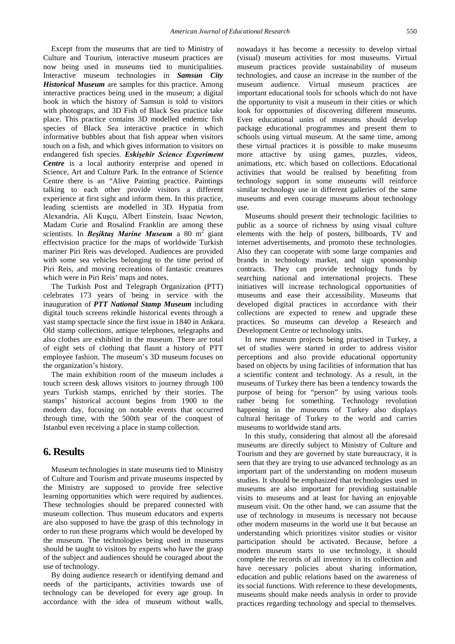Except from the museums that are tied to Ministry of Culture and Tourism, interactive museum practices are now being used in museums tied to municipalities. Interactive museum technologies in *Samsun City Historical Museum* are samples for this practice. Among interactive practices being used in the museum; a digital book in which the history of Samsun is told to visitors with photograps, and 3D Fish of Black Sea practice take place. This practice contains 3D modelled endemic fish species of Black Sea interactive practice in which informative bubbles about that fish appear when visitors touch on a fish, and which gives information to visitors on endangered fish species. *Eskişehir Science Experiment Centre* is a local authority enterprise and opened in Science, Art and Culture Park. In the entrance of Science Centre there is an "Alive Painting practice. Paintings talking to each other provide visitors a different experience at first sight and inform them. In this practice, leading scientists are modelled in 3D. Hypatia from Alexandria, Ali Kuşçu, Albert Einstein, Isaac Newton, Madam Curie and Rosalind Franklin are among these scientists. In *Beşiktaş Marine Museum* a 80 m2 giant effectvision practice for the maps of worldwide Turkish mariner Piri Reis was developed. Audiences are provided with some sea vehicles belonging to the time period of Piri Reis, and moving recreations of fantastic creatures which were in Piri Reis' maps and notes.

The Turkish Post and Telegraph Organization (PTT) celebrates 173 years of being in service with the inauguration of *PTT National Stamp Museum* including digital touch screens rekindle historical events through a vast stamp spectacle since the first issue in 1840 in Ankara. Old stamp collections, antique telephones, telegraphs and also clothes are exhibited in the museum. There are total of eight sets of clothing that flaunt a history of PTT employee fashion. The museum's 3D museum focuses on the organization's history.

The main exhibition room of the museum includes a touch screen desk allows visitors to journey through 100 years Turkish stamps, enriched by their stories. The stamps' historical account begins from 1900 to the modern day, focusing on notable events that occurred through time, with the 500th year of the conquest of Istanbul even receiving a place in stamp collection.

#### **6. Results**

Museum technologies in state museums tied to Ministry of Culture and Tourism and private museums inspected by the Ministry are supposed to provide free selective learning opportunities which were required by audiences. These technologies should be prepared connected with museum collection. Thus museum educators and experts are also supposed to have the grasp of this technology in order to run these programs which would be developed by the museum. The technologies being used in museums should be taught to visitors by experts who have the grasp of the subject and audiences should be couraged about the use of technology.

By doing audience research or identifying demand and needs of the participants, activities towards use of technology can be developed for every age group. In accordance with the idea of museum without walls,

nowadays it has become a necessity to develop virtual (visual) museum activities for most museums. Virtual museum practices provide sustainability of museum technologies, and cause an increase in the number of the museum audience. Virtual museum practices are important educational tools for schools which do not have the opportunity to visit a museum in their cities or which look for opportunies of discovering different museums. Even educational units of museums should develop package educational programmes and present them to schools using virtual museum. At the same time, among these virtual practices it is possible to make museums more attactive by using games, puzzles, videos, animations, etc. which based on collections. Educational activities that would be realised by benefiting from technology support in some museums will reinforce similar technology use in different galleries of the same museums and even courage museums about technology use.

Museums should present their technologic facilities to public as a source of richness by using visual culture elements with the help of posters, billboards, TV and internet advertisements, and promoto these technologies. Also they can cooperate with some large companies and brands in technology market, and sign sponsorship contracts. They can provide technology funds by searching national and international projects. These initiatives will increase technological opportunities of museums and ease their accessibility. Museums that developed digital practices in accordance with their collections are expected to renew and upgrade these practices. So museums can develop a Research and Development Centre or technology units.

In new museum projects being practised in Turkey, a set of studies were started in order to address visitor perceptions and also provide educational opportunity based on objects by using facilities of information that has a scientific content and technology. As a result, in the museums of Turkey there has been a tendency towards the purpose of being for "person" by using various tools rather being for something. Technology revolution happening in the museums of Turkey also displays cultural heritage of Turkey to the world and carries museums to worldwide stand arts.

In this study, considering that almost all the aforesaid museums are directly subject to Ministry of Culture and Tourism and they are governed by state bureaucracy, it is seen that they are trying to use advanced technology as an important part of the understanding on modern museum studies. It should be emphasized that technologies used in museums are also important for providing sustainable visits to museums and at least for having an enjoyable museum visit. On the other hand, we can assume that the use of technology in museums is necessary not because other modern museums in the world use it but because an understanding which prioritizes visitor studies or visitor participation should be activated. Because, before a modern museum starts to use technology, it should complete the records of all inventory in its collection and have necessary policies about sharing information, education and public relations based on the awareness of its social functions. With reference to these developments, museums should make needs analysis in order to provide practices regarding technology and special to themselves.